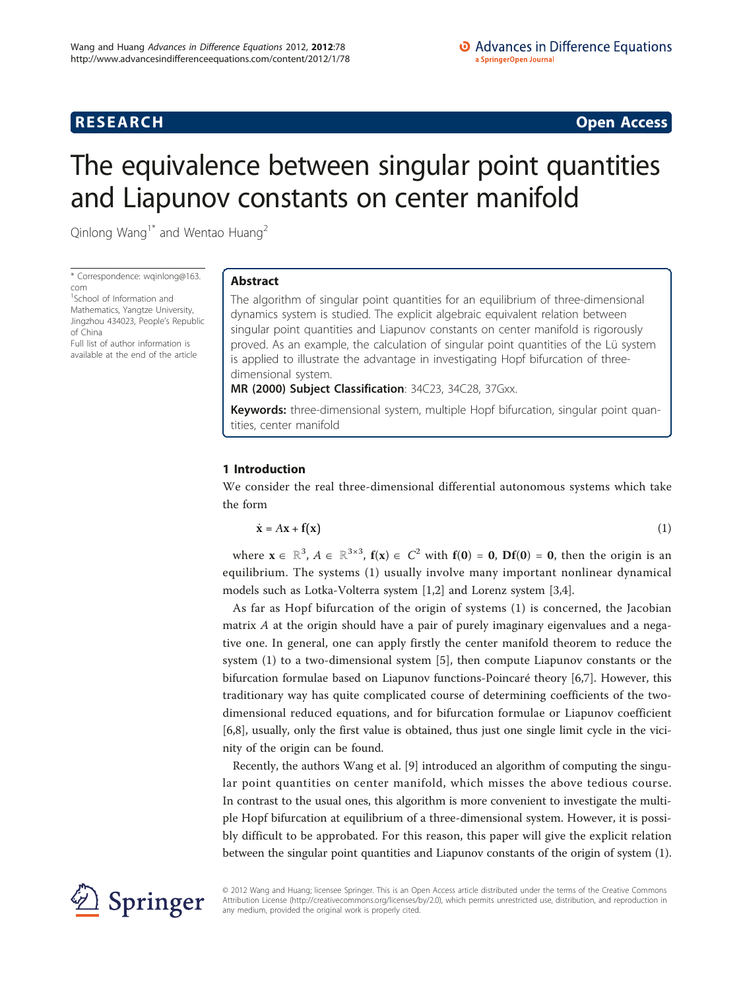**RESEARCH CONSTRUCTION CONSTRUCTS** 

# The equivalence between singular point quantities and Liapunov constants on center manifold

Qinlong Wang<sup>1\*</sup> and Wentao Huang<sup>2</sup>

\* Correspondence: [wqinlong@163.](mailto:wqinlong@163.com) [com](mailto:wqinlong@163.com)

<sup>1</sup>School of Information and Mathematics, Yangtze University, Jingzhou 434023, People's Republic of China Full list of author information is available at the end of the article

# Abstract

The algorithm of singular point quantities for an equilibrium of three-dimensional dynamics system is studied. The explicit algebraic equivalent relation between singular point quantities and Liapunov constants on center manifold is rigorously proved. As an example, the calculation of singular point quantities of the Lü system is applied to illustrate the advantage in investigating Hopf bifurcation of threedimensional system.

MR (2000) Subject Classification: 34C23, 34C28, 37Gxx.

Keywords: three-dimensional system, multiple Hopf bifurcation, singular point quantities, center manifold

# 1 Introduction

We consider the real three-dimensional differential autonomous systems which take the form

$$
\dot{\mathbf{x}} = A\mathbf{x} + \mathbf{f}(\mathbf{x}) \tag{1}
$$

where  $\mathbf{x} \in \mathbb{R}^3$ ,  $A \in \mathbb{R}^{3\times 3}$ ,  $\mathbf{f}(\mathbf{x}) \in C^2$  with  $\mathbf{f}(\mathbf{0}) = \mathbf{0}$ ,  $\mathbf{D}\mathbf{f}(\mathbf{0}) = \mathbf{0}$ , then the origin is an equilibrium. The systems (1) usually involve many important nonlinear dynamical models such as Lotka-Volterra system [[1](#page-10-0),[2](#page-10-0)] and Lorenz system [[3](#page-10-0),[4](#page-10-0)].

As far as Hopf bifurcation of the origin of systems (1) is concerned, the Jacobian matrix  $A$  at the origin should have a pair of purely imaginary eigenvalues and a negative one. In general, one can apply firstly the center manifold theorem to reduce the system (1) to a two-dimensional system [[5\]](#page-10-0), then compute Liapunov constants or the bifurcation formulae based on Liapunov functions-Poincaré theory [\[6,7](#page-10-0)]. However, this traditionary way has quite complicated course of determining coefficients of the twodimensional reduced equations, and for bifurcation formulae or Liapunov coefficient [[6,8\]](#page-10-0), usually, only the first value is obtained, thus just one single limit cycle in the vicinity of the origin can be found.

Recently, the authors Wang et al. [[9](#page-10-0)] introduced an algorithm of computing the singular point quantities on center manifold, which misses the above tedious course. In contrast to the usual ones, this algorithm is more convenient to investigate the multiple Hopf bifurcation at equilibrium of a three-dimensional system. However, it is possibly difficult to be approbated. For this reason, this paper will give the explicit relation between the singular point quantities and Liapunov constants of the origin of system (1).



© 2012 Wang and Huang; licensee Springer. This is an Open Access article distributed under the terms of the Creative Commons Attribution License [\(http://creativecommons.org/licenses/by/2.0](http://creativecommons.org/licenses/by/2.0)), which permits unrestricted use, distribution, and reproduction in any medium, provided the original work is properly cited.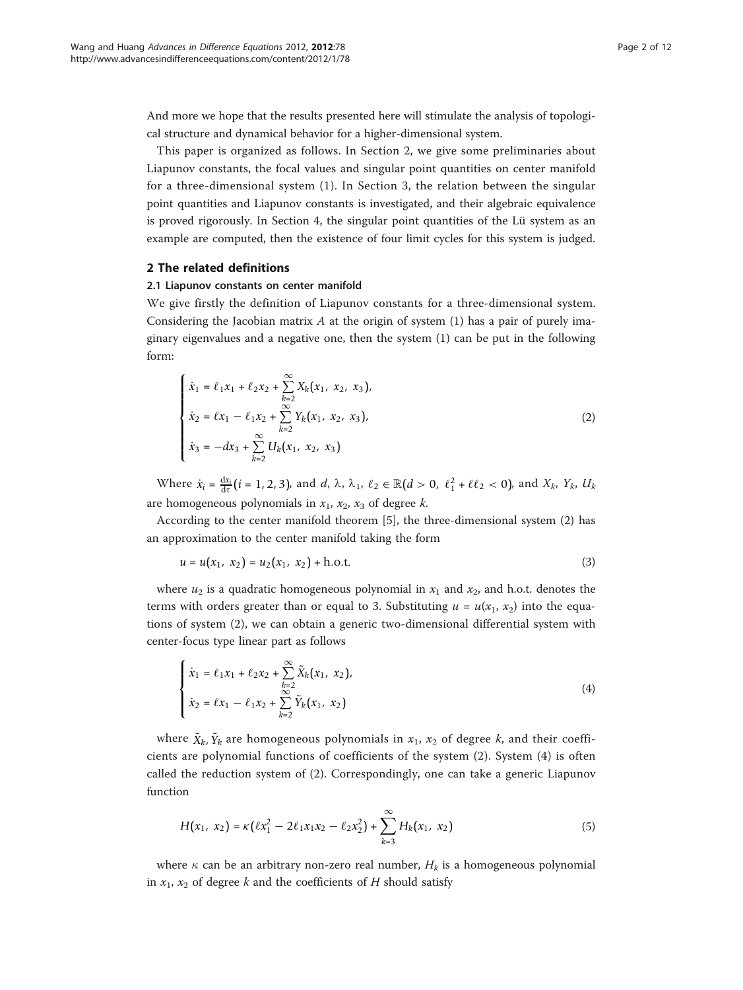And more we hope that the results presented here will stimulate the analysis of topological structure and dynamical behavior for a higher-dimensional system.

This paper is organized as follows. In Section 2, we give some preliminaries about Liapunov constants, the focal values and singular point quantities on center manifold for a three-dimensional system (1). In Section 3, the relation between the singular point quantities and Liapunov constants is investigated, and their algebraic equivalence is proved rigorously. In Section 4, the singular point quantities of the Lü system as an example are computed, then the existence of four limit cycles for this system is judged.

#### 2 The related definitions

## 2.1 Liapunov constants on center manifold

We give firstly the definition of Liapunov constants for a three-dimensional system. Considering the Jacobian matrix  $A$  at the origin of system (1) has a pair of purely imaginary eigenvalues and a negative one, then the system (1) can be put in the following form:

$$
\begin{cases}\n\dot{x}_1 = \ell_1 x_1 + \ell_2 x_2 + \sum_{k=2}^{\infty} X_k (x_1, x_2, x_3), \\
\dot{x}_2 = \ell x_1 - \ell_1 x_2 + \sum_{k=2}^{\infty} Y_k (x_1, x_2, x_3), \\
\dot{x}_3 = -dx_3 + \sum_{k=2}^{\infty} U_k (x_1, x_2, x_3)\n\end{cases}
$$
\n(2)

Where  $\dot{x}_i = \frac{dx_i}{dt} (i = 1, 2, 3)$ , and d,  $\lambda$ ,  $\lambda_1$ ,  $\ell_2 \in \mathbb{R} (d > 0, \ell_1^2 + \ell \ell_2 < 0)$ , and  $X_k$ ,  $Y_k$ ,  $U_k$ are homogeneous polynomials in  $x_1$ ,  $x_2$ ,  $x_3$  of degree k.

According to the center manifold theorem [[5\]](#page-10-0), the three-dimensional system (2) has an approximation to the center manifold taking the form

$$
u = u(x_1, x_2) = u_2(x_1, x_2) + \text{h.o.t.}
$$
\n(3)

where  $u_2$  is a quadratic homogeneous polynomial in  $x_1$  and  $x_2$ , and h.o.t. denotes the terms with orders greater than or equal to 3. Substituting  $u = u(x_1, x_2)$  into the equations of system (2), we can obtain a generic two-dimensional differential system with center-focus type linear part as follows

$$
\begin{cases}\n\dot{x}_1 = \ell_1 x_1 + \ell_2 x_2 + \sum_{k=2}^{\infty} \tilde{X}_k (x_1, x_2), \\
\dot{x}_2 = \ell x_1 - \ell_1 x_2 + \sum_{k=2}^{\infty} \tilde{Y}_k (x_1, x_2)\n\end{cases}
$$
\n(4)

where  $\tilde{X}_k$ ,  $\tilde{Y}_k$  are homogeneous polynomials in  $x_1$ ,  $x_2$  of degree k, and their coefficients are polynomial functions of coefficients of the system (2). System (4) is often called the reduction system of (2). Correspondingly, one can take a generic Liapunov function

$$
H(x_1, x_2) = \kappa \left( \ell x_1^2 - 2\ell_1 x_1 x_2 - \ell_2 x_2^2 \right) + \sum_{k=3}^{\infty} H_k(x_1, x_2)
$$
 (5)

where  $\kappa$  can be an arbitrary non-zero real number,  $H_k$  is a homogeneous polynomial in  $x_1$ ,  $x_2$  of degree k and the coefficients of H should satisfy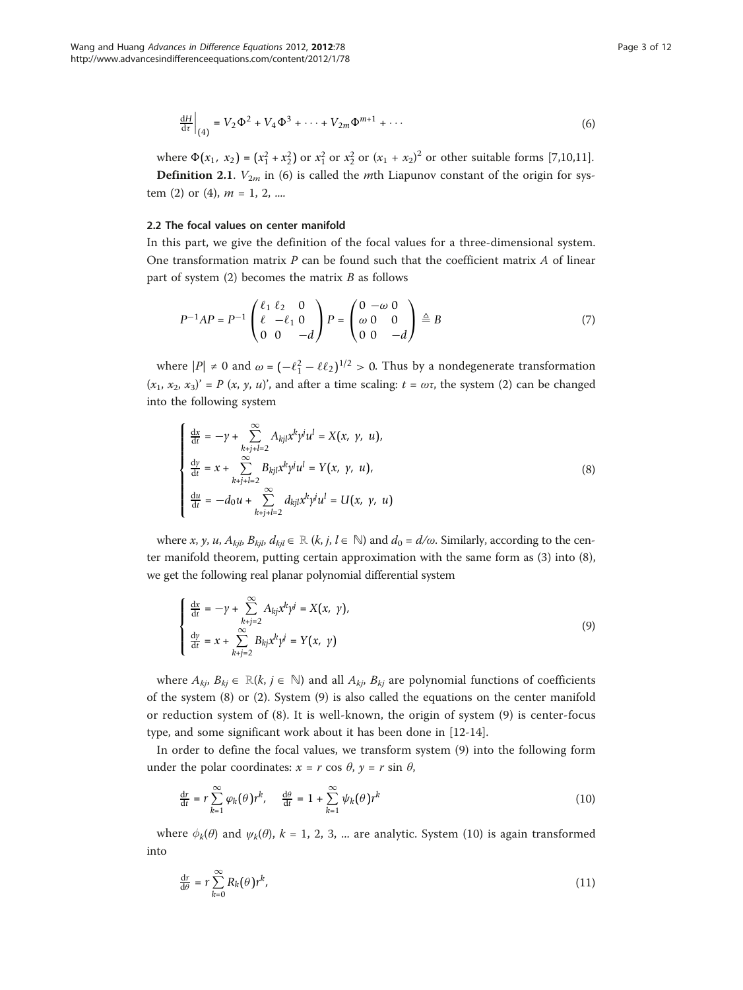$$
\left. \frac{dH}{d\tau} \right|_{(4)} = V_2 \Phi^2 + V_4 \Phi^3 + \dots + V_{2m} \Phi^{m+1} + \dots \tag{6}
$$

where  $\Phi(x_1, x_2) = (x_1^2 + x_2^2)$  or  $x_1^2$  or  $x_2^2$  or  $(x_1 + x_2)^2$  or other suitable forms [\[7](#page-10-0)[,10,11](#page-11-0)]. **Definition 2.1.**  $V_{2m}$  in (6) is called the *m*th Liapunov constant of the origin for sys-

tem (2) or (4),  $m = 1, 2, ...$ 

## 2.2 The focal values on center manifold

In this part, we give the definition of the focal values for a three-dimensional system. One transformation matrix  $P$  can be found such that the coefficient matrix  $A$  of linear part of system  $(2)$  becomes the matrix  $B$  as follows

$$
P^{-1}AP = P^{-1} \begin{pmatrix} \ell_1 & \ell_2 & 0 \\ \ell & -\ell_1 & 0 \\ 0 & 0 & -d \end{pmatrix} P = \begin{pmatrix} 0 & -\omega & 0 \\ \omega & 0 & 0 \\ 0 & 0 & -d \end{pmatrix} \triangleq B \tag{7}
$$

where  $|P| \neq 0$  and  $\omega = (-\ell_1^2 - \ell \ell_2)^{1/2} > 0$ . Thus by a nondegenerate transformation  $(x_1, x_2, x_3)' = P(x, y, u)'$ , and after a time scaling:  $t = \omega \tau$ , the system (2) can be changed into the following system

$$
\begin{cases}\n\frac{dx}{dt} = -\gamma + \sum_{k+j+l=2}^{\infty} A_{kjl} x^k y^j u^l = X(x, y, u), \\
\frac{dy}{dt} = x + \sum_{k+j+l=2}^{\infty} B_{kjl} x^k y^j u^l = Y(x, y, u), \\
\frac{du}{dt} = -d_0 u + \sum_{k+j+l=2}^{\infty} d_{kjl} x^k y^j u^l = U(x, y, u)\n\end{cases}
$$
\n(8)

where x, y, u,  $A_{kib}$   $B_{kib}$   $d_{kil} \in \mathbb{R}$  (k, j,  $l \in \mathbb{N}$ ) and  $d_0 = d/\omega$ . Similarly, according to the center manifold theorem, putting certain approximation with the same form as (3) into (8), we get the following real planar polynomial differential system

$$
\begin{cases}\n\frac{dx}{dt} = -\gamma + \sum_{k+j=2}^{\infty} A_{kj} x^k y^j = X(x, y), \\
\frac{dy}{dt} = x + \sum_{k+j=2}^{\infty} B_{kj} x^k y^j = Y(x, y)\n\end{cases}
$$
\n(9)

where  $A_{kj}$ ,  $B_{kj} \in \mathbb{R}(k, j \in \mathbb{N})$  and all  $A_{kj}$ ,  $B_{kj}$  are polynomial functions of coefficients of the system (8) or (2). System (9) is also called the equations on the center manifold or reduction system of (8). It is well-known, the origin of system (9) is center-focus type, and some significant work about it has been done in [\[12](#page-11-0)-[14](#page-11-0)].

In order to define the focal values, we transform system (9) into the following form under the polar coordinates:  $x = r \cos \theta$ ,  $y = r \sin \theta$ ,

$$
\frac{dr}{dt} = r \sum_{k=1}^{\infty} \varphi_k(\theta) r^k, \quad \frac{d\theta}{dt} = 1 + \sum_{k=1}^{\infty} \psi_k(\theta) r^k
$$
\n(10)

where  $\phi_k(\theta)$  and  $\psi_k(\theta)$ ,  $k = 1, 2, 3, ...$  are analytic. System (10) is again transformed into

$$
\frac{\mathrm{d}r}{\mathrm{d}\theta} = r \sum_{k=0}^{\infty} R_k(\theta) r^k,\tag{11}
$$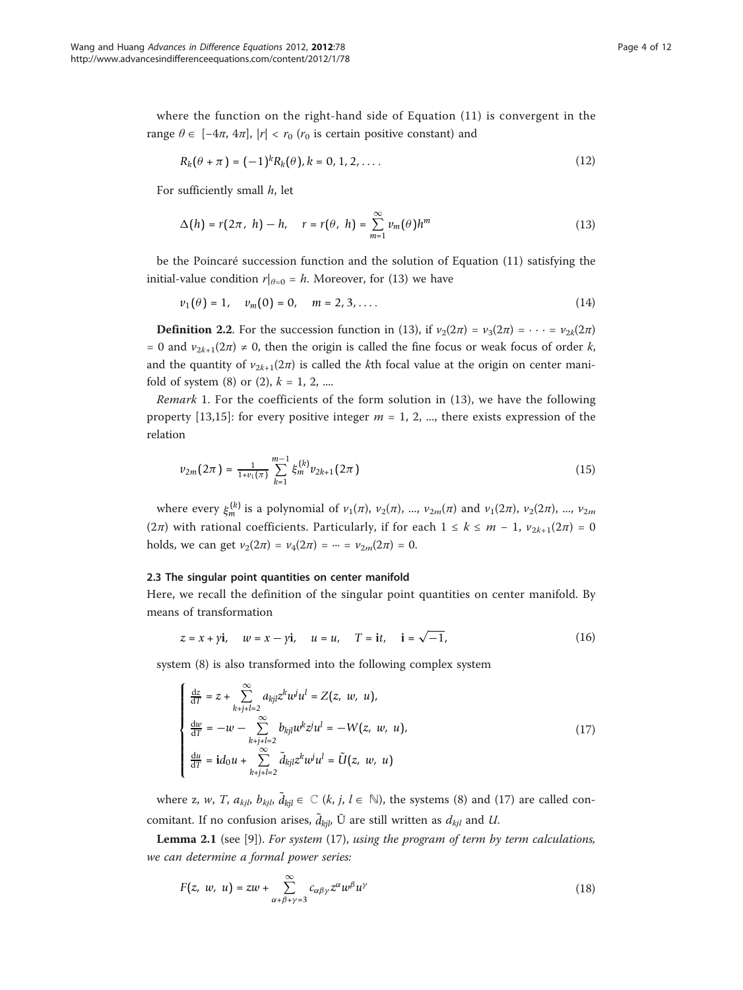where the function on the right-hand side of Equation (11) is convergent in the range  $\theta \in [-4\pi, 4\pi]$ ,  $|r| < r_0$  ( $r_0$  is certain positive constant) and

$$
R_k(\theta + \pi) = (-1)^k R_k(\theta), k = 0, 1, 2, \dots
$$
 (12)

For sufficiently small  $h$ , let

$$
\Delta(h) = r(2\pi, h) - h, \quad r = r(\theta, h) = \sum_{m=1}^{\infty} v_m(\theta) h^m
$$
\n(13)

be the Poincaré succession function and the solution of Equation (11) satisfying the initial-value condition  $r|_{\theta=0} = h$ . Moreover, for (13) we have

$$
v_1(\theta) = 1, \quad v_m(0) = 0, \quad m = 2, 3, .... \tag{14}
$$

**Definition 2.2.** For the succession function in (13), if  $v_2(2\pi) = v_3(2\pi) = \cdots = v_{2k}(2\pi)$ = 0 and  $v_{2k+1}(2\pi) \neq 0$ , then the origin is called the fine focus or weak focus of order k, and the quantity of  $v_{2k+1}(2\pi)$  is called the kth focal value at the origin on center manifold of system (8) or (2),  $k = 1, 2, ...$ 

Remark 1. For the coefficients of the form solution in (13), we have the following property [[13,15](#page-11-0)]: for every positive integer  $m = 1, 2, ...$ , there exists expression of the relation

$$
\nu_{2m}(2\pi) = \frac{1}{1+\nu_1(\pi)} \sum_{k=1}^{m-1} \xi_m^{(k)} \nu_{2k+1}(2\pi)
$$
\n(15)

where every  $\xi_m^{(k)}$  is a polynomial of  $v_1(\pi)$ ,  $v_2(\pi)$ , ...,  $v_{2m}(\pi)$  and  $v_1(2\pi)$ ,  $v_2(2\pi)$ , ...,  $v_{2m}$ (2π) with rational coefficients. Particularly, if for each  $1 \leq k \leq m-1$ ,  $v_{2k+1}(2\pi)=0$ holds, we can get  $v_2(2\pi) = v_4(2\pi) = \cdots = v_{2m}(2\pi) = 0$ .

## 2.3 The singular point quantities on center manifold

Here, we recall the definition of the singular point quantities on center manifold. By means of transformation

$$
z = x + yi
$$
,  $w = x - yi$ ,  $u = u$ ,  $T = it$ ,  $i = \sqrt{-1}$ , (16)

system (8) is also transformed into the following complex system

$$
\begin{cases}\n\frac{dz}{dT} = z + \sum_{k+j+l=2}^{\infty} a_{kjl} z^k w^j u^l = Z(z, w, u),\n\frac{dw}{dT} = -w - \sum_{k+j+l=2}^{\infty} b_{kjl} w^k z^j u^l = -W(z, w, u),\n\frac{du}{dT} = id_0 u + \sum_{k+j+l=2}^{\infty} \tilde{d}_{kjl} z^k w^j u^l = \tilde{U}(z, w, u)\n\end{cases}
$$
\n(17)

where z, w, *T*,  $a_{kjl}$ ,  $b_{kjl}$ ,  $\tilde{d}_{kjl} \in \mathbb{C}$  (*k*, *j*, *l*  $\in$  N), the systems (8) and (17) are called concomitant. If no confusion arises,  $\tilde{d}_{kjl}$ , Ũ are still written as  $d_{kjl}$  and U.

**Lemma 2.1** (see [[9\]](#page-10-0)). For system  $(17)$ , using the program of term by term calculations, we can determine a formal power series:

$$
F(z, w, u) = zw + \sum_{\alpha+\beta+\gamma=3}^{\infty} c_{\alpha\beta\gamma} z^{\alpha} w^{\beta} u^{\gamma}
$$
 (18)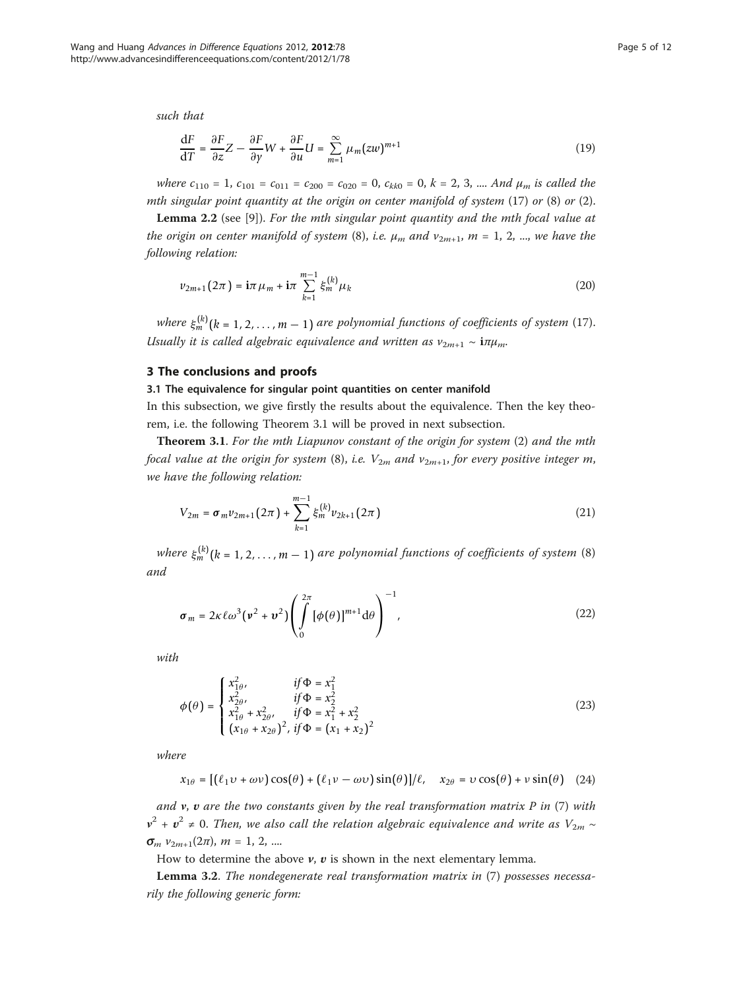such that

$$
\frac{\mathrm{d}F}{\mathrm{d}T} = \frac{\partial F}{\partial z}Z - \frac{\partial F}{\partial y}W + \frac{\partial F}{\partial u}U = \sum_{m=1}^{\infty} \mu_m(zw)^{m+1}
$$
\n(19)

where  $c_{110} = 1$ ,  $c_{101} = c_{011} = c_{200} = c_{020} = 0$ ,  $c_{kk0} = 0$ ,  $k = 2, 3, ...$  And  $\mu_m$  is called the mth singular point quantity at the origin on center manifold of system  $(17)$  or  $(8)$  or  $(2)$ .

Lemma 2.2 (see [[9\]](#page-10-0)). For the mth singular point quantity and the mth focal value at the origin on center manifold of system (8), i.e.  $\mu_m$  and  $\nu_{2m+1}$ ,  $m = 1, 2, ...$ , we have the following relation:

$$
\nu_{2m+1}(2\pi) = i\pi \mu_m + i\pi \sum_{k=1}^{m-1} \xi_m^{(k)} \mu_k
$$
\n(20)

where  $\xi_m^{(k)}$  ( $k = 1, 2, ..., m - 1$ ) are polynomial functions of coefficients of system (17). Usually it is called algebraic equivalence and written as  $v_{2m+1} \sim i \pi \mu_m$ .

#### 3 The conclusions and proofs

#### 3.1 The equivalence for singular point quantities on center manifold

In this subsection, we give firstly the results about the equivalence. Then the key theorem, i.e. the following Theorem 3.1 will be proved in next subsection.

**Theorem 3.1**. For the mth Liapunov constant of the origin for system  $(2)$  and the mth focal value at the origin for system (8), i.e.  $V_{2m}$  and  $v_{2m+1}$ , for every positive integer m, we have the following relation:

$$
V_{2m} = \sigma_m v_{2m+1} (2\pi) + \sum_{k=1}^{m-1} \xi_m^{(k)} v_{2k+1} (2\pi)
$$
 (21)

where  $\xi_m^{(k)}$  ( $k = 1, 2, ..., m - 1$ ) are polynomial functions of coefficients of system (8) and

$$
\boldsymbol{\sigma}_m = 2\kappa \ell \omega^3 (\nu^2 + \nu^2) \left( \int_0^{2\pi} [\phi(\theta)]^{m+1} d\theta \right)^{-1}, \qquad (22)
$$

with

$$
\phi(\theta) = \begin{cases}\n x_{1\theta}^2, & \text{if } \Phi = x_1^2 \\
 x_{2\theta}^2, & \text{if } \Phi = x_2^2 \\
 x_{1\theta}^2 + x_{2\theta}^2, & \text{if } \Phi = x_1^2 + x_2^2 \\
 (x_{1\theta} + x_{2\theta})^2, & \text{if } \Phi = (x_1 + x_2)^2\n\end{cases}
$$
\n(23)

where

$$
x_{1\theta} = [(\ell_1 v + \omega v) \cos(\theta) + (\ell_1 v - \omega v) \sin(\theta)]/\ell, \quad x_{2\theta} = v \cos(\theta) + v \sin(\theta) \quad (24)
$$

and  $v$ ,  $v$  are the two constants given by the real transformation matrix  $P$  in (7) with  $v^2 + v^2 \neq 0$ . Then, we also call the relation algebraic equivalence and write as  $V_{2m} \sim$  $\sigma_m$   $v_{2m+1}(2\pi)$ ,  $m = 1, 2, ...$ 

How to determine the above  $v$ ,  $v$  is shown in the next elementary lemma.

Lemma 3.2. The nondegenerate real transformation matrix in (7) possesses necessarily the following generic form: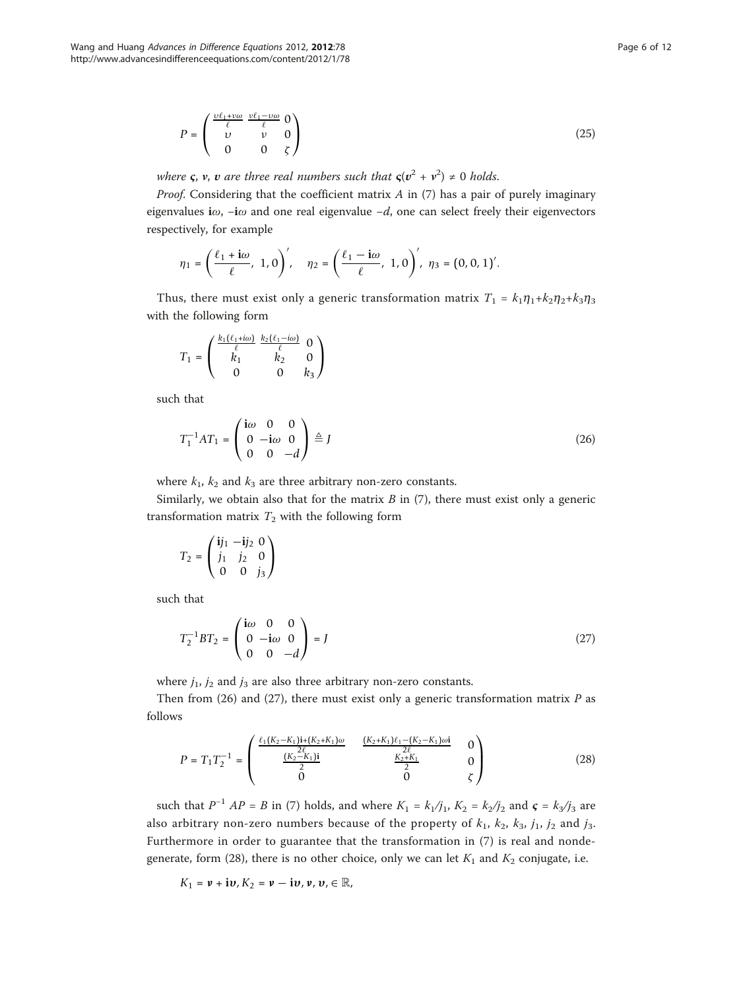$$
P = \begin{pmatrix} \frac{\nu \ell_1 + \nu \omega}{\ell} & \frac{\nu \ell_1 - \nu \omega}{\ell} & 0\\ \nu & \nu & 0\\ 0 & 0 & \zeta \end{pmatrix}
$$
(25)

where  $\varsigma$ ,  $\nu$ ,  $\nu$  are three real numbers such that  $\varsigma(\nu^2 + \nu^2) \neq 0$  holds.

*Proof.* Considering that the coefficient matrix  $A$  in (7) has a pair of purely imaginary eigenvalues i $\omega$ , -i $\omega$  and one real eigenvalue -d, one can select freely their eigenvectors respectively, for example

$$
\eta_1 = \left(\frac{\ell_1 + i\omega}{\ell}, 1, 0\right)', \quad \eta_2 = \left(\frac{\ell_1 - i\omega}{\ell}, 1, 0\right)', \eta_3 = \left(0, 0, 1\right)'
$$

Thus, there must exist only a generic transformation matrix  $T_1 = k_1 \eta_1 + k_2 \eta_2 + k_3 \eta_3$ with the following form

$$
T_1 = \begin{pmatrix} \frac{k_1(\ell_1 + i\omega)}{\ell} & \frac{k_2(\ell_1 - i\omega)}{\ell} & 0\\ k_1 & k_2 & 0\\ 0 & 0 & k_3 \end{pmatrix}
$$

such that

$$
T_1^{-1}AT_1 = \begin{pmatrix} \mathbf{i}\omega & 0 & 0\\ 0 & -\mathbf{i}\omega & 0\\ 0 & 0 & -d \end{pmatrix} \triangleq J \tag{26}
$$

where  $k_1$ ,  $k_2$  and  $k_3$  are three arbitrary non-zero constants.

Similarly, we obtain also that for the matrix  $B$  in (7), there must exist only a generic transformation matrix  $T_2$  with the following form

$$
T_2 = \begin{pmatrix} \mathbf{i}j_1 & -\mathbf{i}j_2 & 0 \\ j_1 & j_2 & 0 \\ 0 & 0 & j_3 \end{pmatrix}
$$

such that

$$
T_2^{-1}BT_2 = \begin{pmatrix} i\omega & 0 & 0 \\ 0 & -i\omega & 0 \\ 0 & 0 & -d \end{pmatrix} = J \tag{27}
$$

where  $j_1$ ,  $j_2$  and  $j_3$  are also three arbitrary non-zero constants.

Then from (26) and (27), there must exist only a generic transformation matrix  $P$  as follows

$$
P = T_1 T_2^{-1} = \begin{pmatrix} \frac{\ell_1 (K_2 - K_1) \mathbf{i} + (K_2 + K_1) \omega}{2} & \frac{(K_2 + K_1) \ell_1 - (K_2 - K_1) \omega \mathbf{i}}{2} & 0\\ \frac{(K_2 - K_1) \mathbf{i}}{2} & \frac{K_2 + K_1}{2} & 0\\ 0 & 0 & \zeta \end{pmatrix}
$$
(28)

such that  $P^{-1}$  AP = B in (7) holds, and where  $K_1 = k_1/j_1$ ,  $K_2 = k_2/j_2$  and  $\mathbf{c} = k_3/j_3$  are also arbitrary non-zero numbers because of the property of  $k_1$ ,  $k_2$ ,  $k_3$ ,  $j_1$ ,  $j_2$  and  $j_3$ . Furthermore in order to guarantee that the transformation in (7) is real and nondegenerate, form (28), there is no other choice, only we can let  $K_1$  and  $K_2$  conjugate, i.e.

$$
K_1 = \mathbf{v} + \mathbf{i}\mathbf{v}, K_2 = \mathbf{v} - \mathbf{i}\mathbf{v}, \mathbf{v}, \mathbf{v} \in \mathbb{R},
$$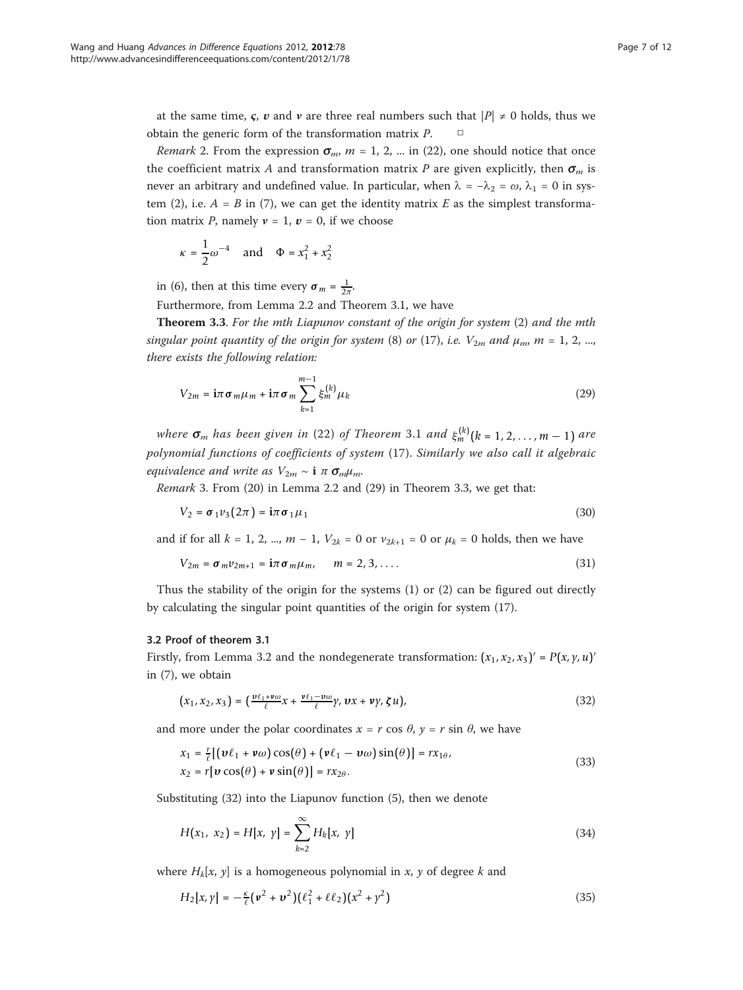at the same time,  $\varsigma$ ,  $v$  and  $v$  are three real numbers such that  $|P| \neq 0$  holds, thus we obtain the generic form of the transformation matrix  $P$ .  $\Box$ 

*Remark* 2. From the expression  $\sigma_m$ ,  $m = 1, 2, ...$  in (22), one should notice that once the coefficient matrix A and transformation matrix P are given explicitly, then  $\sigma_m$  is never an arbitrary and undefined value. In particular, when  $\lambda = -\lambda_2 = \omega$ ,  $\lambda_1 = 0$  in system (2), i.e.  $A = B$  in (7), we can get the identity matrix E as the simplest transformation matrix P, namely  $v = 1$ ,  $v = 0$ , if we choose

$$
\kappa = \frac{1}{2}\omega^{-4}
$$
 and  $\Phi = x_1^2 + x_2^2$ 

in (6), then at this time every  $\sigma_m = \frac{1}{2\pi}$ .

Furthermore, from Lemma 2.2 and Theorem 3.1, we have

**Theorem 3.3.** For the mth Liapunov constant of the origin for system  $(2)$  and the mth singular point quantity of the origin for system (8) or (17), i.e.  $V_{2m}$  and  $\mu_m$ ,  $m = 1, 2, ...$ there exists the following relation:

$$
V_{2m} = \mathbf{i}\pi \sigma_m \mu_m + \mathbf{i}\pi \sigma_m \sum_{k=1}^{m-1} \xi_m^{(k)} \mu_k
$$
 (29)

where  $\sigma_m$  has been given in (22) of Theorem 3.1 and  $\xi_m^{(k)}$  ( $k = 1, 2, ..., m - 1$ ) are polynomial functions of coefficients of system (17). Similarly we also call it algebraic equivalence and write as  $V_{2m} \sim \mathbf{i} \pi \sigma_m \mu_m$ .

Remark 3. From (20) in Lemma 2.2 and (29) in Theorem 3.3, we get that:

$$
V_2 = \sigma_1 v_3 (2\pi) = i\pi \sigma_1 \mu_1 \tag{30}
$$

and if for all  $k = 1, 2, ..., m - 1$ ,  $V_{2k} = 0$  or  $v_{2k+1} = 0$  or  $\mu_k = 0$  holds, then we have

$$
V_{2m} = \sigma_m v_{2m+1} = i\pi \sigma_m \mu_m, \qquad m = 2, 3, \dots
$$
 (31)

Thus the stability of the origin for the systems (1) or (2) can be figured out directly by calculating the singular point quantities of the origin for system (17).

#### 3.2 Proof of theorem 3.1

Firstly, from Lemma 3.2 and the nondegenerate transformation:  $(x_1, x_2, x_3)' = P(x, y, u)'$ in (7), we obtain

$$
(x_1, x_2, x_3) = \left(\frac{\nu \ell_1 + \nu \omega}{\ell} x + \frac{\nu \ell_1 - \nu \omega}{\ell} y, \, \nu x + \nu y, \, \zeta u\right),\tag{32}
$$

and more under the polar coordinates  $x = r \cos \theta$ ,  $y = r \sin \theta$ , we have

$$
x_1 = \frac{r}{\ell} [(\boldsymbol{\nu} \ell_1 + \boldsymbol{\nu} \omega) \cos(\theta) + (\boldsymbol{\nu} \ell_1 - \boldsymbol{\nu} \omega) \sin(\theta)] = r x_{1\theta},
$$
  
\n
$$
x_2 = r [\boldsymbol{\nu} \cos(\theta) + \boldsymbol{\nu} \sin(\theta)] = r x_{2\theta}.
$$
\n(33)

Substituting (32) into the Liapunov function (5), then we denote

$$
H(x_1, x_2) = H[x, y] = \sum_{k=2}^{\infty} H_k[x, y]
$$
\n(34)

where  $H_k[x, y]$  is a homogeneous polynomial in x, y of degree k and

$$
H_2[x, y] = -\frac{\kappa}{\ell} (\nu^2 + \nu^2) (\ell_1^2 + \ell \ell_2) (x^2 + y^2)
$$
\n(35)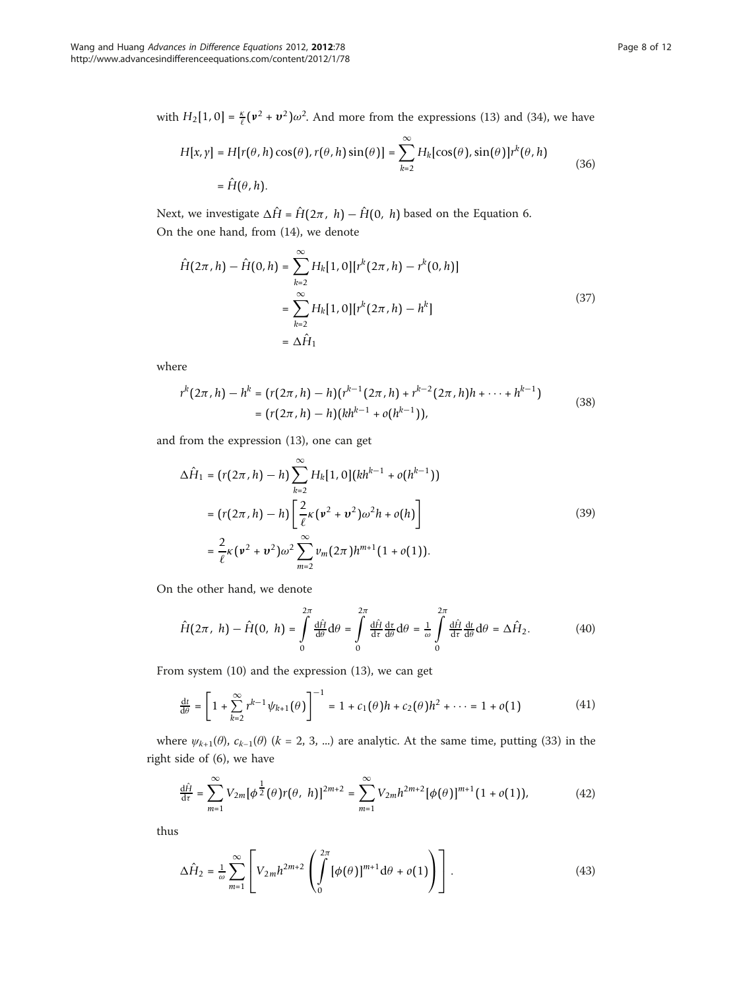with  $H_2[1, 0] = \frac{\kappa}{\ell}(\mathbf{v}^2 + \mathbf{v}^2)\omega^2$ . And more from the expressions (13) and (34), we have

$$
H[x, y] = H[r(\theta, h) \cos(\theta), r(\theta, h) \sin(\theta)] = \sum_{k=2}^{\infty} H_k[\cos(\theta), \sin(\theta)]r^k(\theta, h)
$$
  
=  $\hat{H}(\theta, h).$  (36)

Next, we investigate  $\Delta \hat{H} = \hat{H}(2\pi, h) - \hat{H}(0, h)$  based on the Equation 6. On the one hand, from (14), we denote

$$
\hat{H}(2\pi, h) - \hat{H}(0, h) = \sum_{k=2}^{\infty} H_k[1, 0][r^k(2\pi, h) - r^k(0, h)]
$$

$$
= \sum_{k=2}^{\infty} H_k[1, 0][r^k(2\pi, h) - h^k]
$$

$$
= \Delta \hat{H}_1
$$
\n(37)

where

$$
r^{k}(2\pi,h) - h^{k} = (r(2\pi,h) - h)(r^{k-1}(2\pi,h) + r^{k-2}(2\pi,h)h + \dots + h^{k-1})
$$
  
= 
$$
(r(2\pi,h) - h)(kh^{k-1} + o(h^{k-1})),
$$
 (38)

and from the expression (13), one can get

$$
\Delta \hat{H}_1 = (r(2\pi, h) - h) \sum_{k=2}^{\infty} H_k[1, 0] (kh^{k-1} + o(h^{k-1}))
$$
  
=  $(r(2\pi, h) - h) \left[ \frac{2}{\ell} \kappa (\nu^2 + \nu^2) \omega^2 h + o(h) \right]$   
=  $\frac{2}{\ell} \kappa (\nu^2 + \nu^2) \omega^2 \sum_{m=2}^{\infty} \nu_m (2\pi) h^{m+1} (1 + o(1)).$  (39)

On the other hand, we denote

$$
\hat{H}(2\pi, h) - \hat{H}(0, h) = \int_{0}^{2\pi} \frac{\mathrm{d}\hat{H}}{\mathrm{d}\theta} \mathrm{d}\theta = \int_{0}^{2\pi} \frac{\mathrm{d}\hat{H}}{\mathrm{d}\tau} \frac{\mathrm{d}\tau}{\mathrm{d}\theta} \mathrm{d}\theta = \frac{1}{\omega} \int_{0}^{2\pi} \frac{\mathrm{d}\hat{H}}{\mathrm{d}\tau} \frac{\mathrm{d}t}{\mathrm{d}\theta} \mathrm{d}\theta = \Delta \hat{H}_2.
$$
 (40)

From system (10) and the expression (13), we can get

$$
\frac{dt}{d\theta} = \left[1 + \sum_{k=2}^{\infty} r^{k-1} \psi_{k+1}(\theta)\right]^{-1} = 1 + c_1(\theta)h + c_2(\theta)h^2 + \dots = 1 + o(1)
$$
\n(41)

where  $\psi_{k+1}(\theta)$ ,  $c_{k-1}(\theta)$  (k = 2, 3, ...) are analytic. At the same time, putting (33) in the right side of (6), we have

$$
\frac{d\hat{H}}{dt} = \sum_{m=1}^{\infty} V_{2m} [\phi^{\frac{1}{2}}(\theta) r(\theta, h)]^{2m+2} = \sum_{m=1}^{\infty} V_{2m} h^{2m+2} [\phi(\theta)]^{m+1} (1 + o(1)), \tag{42}
$$

thus

$$
\Delta \hat{H}_2 = \frac{1}{\omega} \sum_{m=1}^{\infty} \left[ V_{2m} h^{2m+2} \left( \int_0^{2\pi} \left[ \phi(\theta) \right]^{m+1} d\theta + o(1) \right) \right]. \tag{43}
$$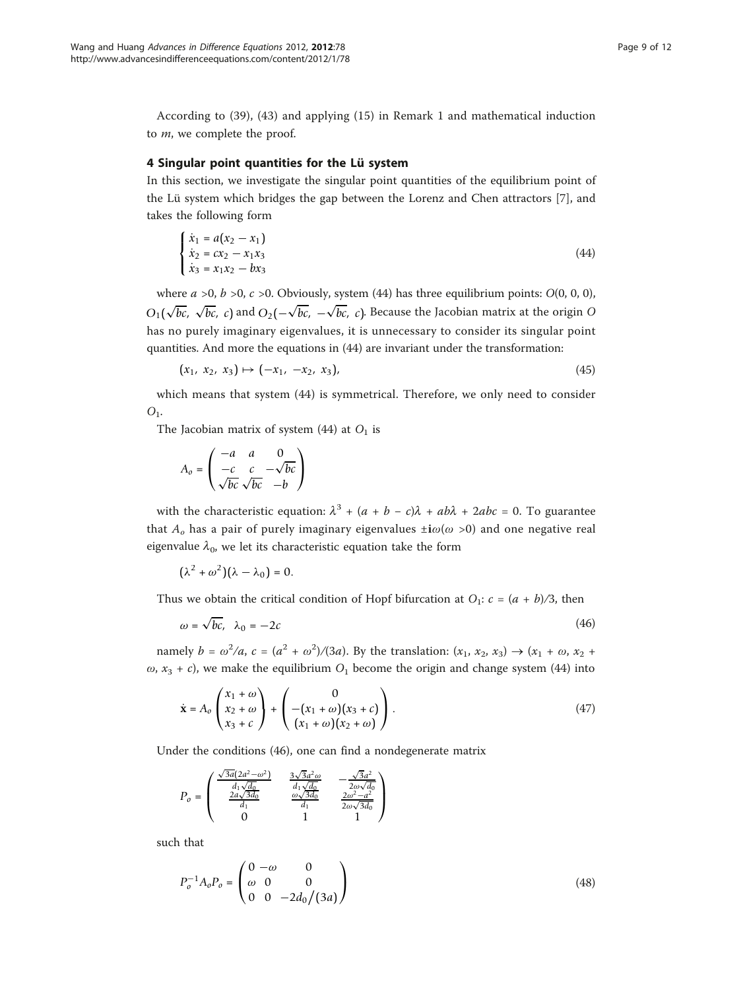According to (39), (43) and applying (15) in Remark 1 and mathematical induction to m, we complete the proof.

# 4 Singular point quantities for the Lü system

In this section, we investigate the singular point quantities of the equilibrium point of the Lü system which bridges the gap between the Lorenz and Chen attractors [[7\]](#page-10-0), and takes the following form

$$
\begin{cases}\n\dot{x}_1 = a(x_2 - x_1) \\
\dot{x}_2 = cx_2 - x_1x_3 \\
\dot{x}_3 = x_1x_2 - bx_3\n\end{cases}
$$
\n(44)

where  $a > 0$ ,  $b > 0$ ,  $c > 0$ . Obviously, system (44) has three equilibrium points:  $O(0, 0, 0)$ , *O*<sub>1</sub>(√*bc*, √*bc*, *c*) and *O*<sub>2</sub>(−√*bc*, −√*bc*, *c*). Because the Jacobian matrix at the origin O has no purely imaginary eigenvalues, it is unnecessary to consider its singular point quantities. And more the equations in (44) are invariant under the transformation:

$$
(x_1, x_2, x_3) \mapsto (-x_1, -x_2, x_3), \tag{45}
$$

which means that system (44) is symmetrical. Therefore, we only need to consider  $O<sub>1</sub>$ .

The Jacobian matrix of system (44) at  $O<sub>1</sub>$  is

$$
A_o = \begin{pmatrix} -a & a & 0 \\ -c & c & -\sqrt{bc} \\ \sqrt{bc} & \sqrt{bc} & -b \end{pmatrix}
$$

with the characteristic equation:  $\lambda^3 + (a + b - c)\lambda + ab\lambda + 2abc = 0$ . To guarantee that  $A_0$  has a pair of purely imaginary eigenvalues  $\pm i\omega(\omega > 0)$  and one negative real eigenvalue  $\lambda_0$ , we let its characteristic equation take the form

$$
(\lambda^2+\omega^2)(\lambda-\lambda_0)=0.
$$

Thus we obtain the critical condition of Hopf bifurcation at  $O_1$ :  $c = (a + b)/3$ , then

$$
\omega = \sqrt{bc}, \quad \lambda_0 = -2c \tag{46}
$$

namely  $b = \omega^2/a$ ,  $c = (a^2 + \omega^2)/(3a)$ . By the translation:  $(x_1, x_2, x_3) \to (x_1 + \omega, x_2 + \omega^2)$  $\omega$ ,  $x_3 + c$ , we make the equilibrium  $O_1$  become the origin and change system (44) into

$$
\dot{\mathbf{x}} = A_o \begin{pmatrix} x_1 + \omega \\ x_2 + \omega \\ x_3 + c \end{pmatrix} + \begin{pmatrix} 0 \\ -(x_1 + \omega)(x_3 + c) \\ (x_1 + \omega)(x_2 + \omega) \end{pmatrix} . \tag{47}
$$

Under the conditions (46), one can find a nondegenerate matrix

$$
P_o = \left( \begin{array}{ccc} \frac{\sqrt{3a}(2a^2 - \omega^2)}{d_1\sqrt{d_0}} & \frac{3\sqrt{3}a^2\omega}{d_1\sqrt{d_0}} & -\frac{\sqrt{3}a^2}{2\omega\sqrt{d_0}} \\ \frac{2a\sqrt{3d_0}}{d_1} & \frac{\omega\sqrt{3d_0}}{d_1} & \frac{2\omega^2 - a^2}{2\omega\sqrt{3d_0}} \\ 0 & 1 & 1 \end{array} \right)
$$

such that

$$
P_o^{-1} A_o P_o = \begin{pmatrix} 0 & -\omega & 0 \\ \omega & 0 & 0 \\ 0 & 0 & -2d_0/(3a) \end{pmatrix}
$$
 (48)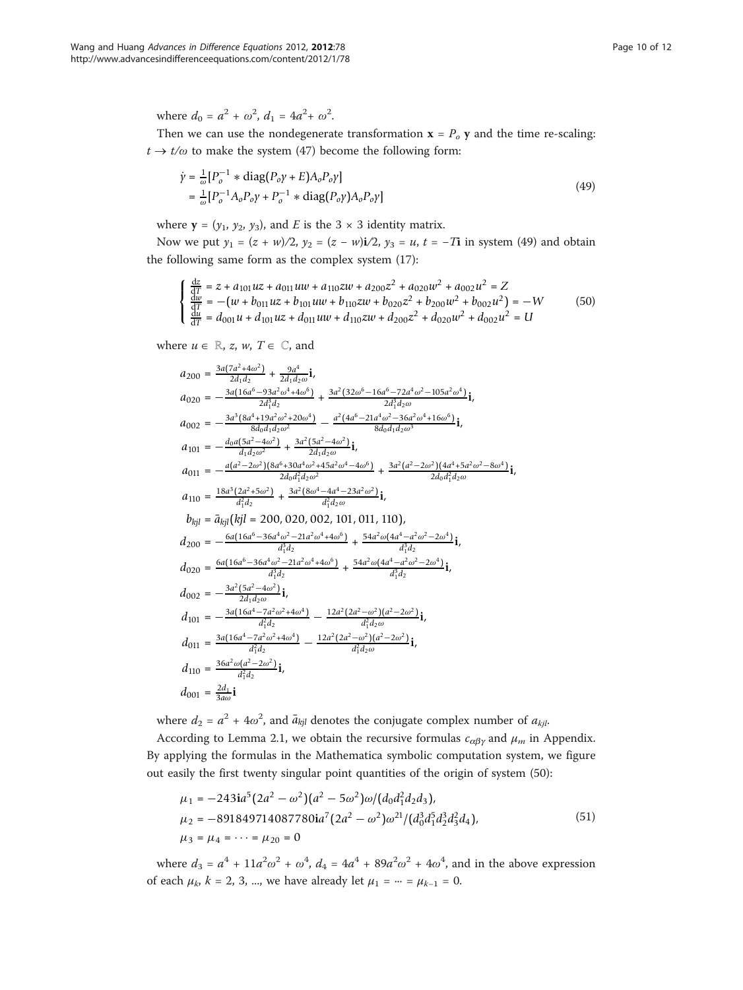where  $d_0 = a^2 + \omega^2$ ,  $d_1 = 4a^2 + \omega^2$ .

Then we can use the nondegenerate transformation  $x = P_0 y$  and the time re-scaling:  $t \rightarrow t/\omega$  to make the system (47) become the following form:

$$
\dot{\gamma} = \frac{1}{\omega} [P_o^{-1} * diag(P_o \gamma + E) A_o P_o \gamma]
$$
  
= 
$$
\frac{1}{\omega} [P_o^{-1} A_o P_o \gamma + P_o^{-1} * diag(P_o \gamma) A_o P_o \gamma]
$$
 (49)

where  $y = (y_1, y_2, y_3)$ , and E is the 3  $\times$  3 identity matrix.

Now we put  $y_1 = (z + w)/2$ ,  $y_2 = (z - w)i/2$ ,  $y_3 = u$ ,  $t = -Ti$  in system (49) and obtain the following same form as the complex system (17):

$$
\begin{cases} \frac{dz}{dT} = z + a_{101}uz + a_{011}uw + a_{110}zw + a_{200}z^2 + a_{020}w^2 + a_{002}u^2 = Z\\ \frac{dw}{dT} = -(w + b_{011}uz + b_{101}uw + b_{110}zw + b_{020}z^2 + b_{200}w^2 + b_{002}u^2) = -W\\ \frac{dw}{dT} = d_{001}u + d_{101}uz + d_{011}uw + d_{110}zw + d_{200}z^2 + d_{020}w^2 + d_{002}u^2 = U \end{cases}
$$
(50)

where  $u \in \mathbb{R}$ , z, w,  $T \in \mathbb{C}$ , and

$$
a_{200} = \frac{3a(7a^2 + 4\omega^2)}{2d_1d_2} + \frac{9a^4}{2d_1d_2\omega}i,
$$
  
\n
$$
a_{020} = -\frac{3a(16a^6 - 93a^2\omega^4 + 4\omega^6)}{2d_1^3d_2} + \frac{3a^2(32\omega^6 - 16a^6 - 72a^4\omega^2 - 105a^2\omega^4)}{2d_1^3d_2\omega}i,
$$
  
\n
$$
a_{002} = -\frac{3a^3(8a^4 + 19a^2\omega^2 + 20\omega^4)}{8d_0d_1d_2\omega^2} - \frac{a^2(4a^6 - 21a^4\omega^2 - 36a^2\omega^4 + 16\omega^6)}{8d_0d_1d_2\omega^3}i,
$$
  
\n
$$
a_{101} = -\frac{a_0a(5a^2 - 4\omega^2)}{d_1d_2\omega^2} + \frac{3a^2(5a^2 - 4\omega^2)}{2d_1d_2\omega}i,
$$
  
\n
$$
a_{011} = -\frac{a(4^2 - 2\omega^2)(8a^6 + 30a^4\omega^2 + 45a^2\omega^4 - 4\omega^6)}{2d_0d_1^2d_2\omega^2} + \frac{3a^2(a^2 - 2\omega^2)(4a^4 + 5a^2\omega^2 - 8\omega^4)}{2d_0d_1^2d_2\omega}i,
$$
  
\n
$$
a_{110} = \frac{18a^3(2a^2 + 5\omega^2)}{d_1^2d_2} + \frac{3a^2(8\omega^4 - 4a^4 - 23a^2\omega^2)}{d_1^2d_2}i,
$$
  
\n
$$
b_{kj1} = \bar{a}_{kj1}(kjl = 200, 020, 002, 101, 011, 110),
$$
  
\n
$$
d_{200} = -\frac{6a(16a^6 - 36a^4\omega^2 - 21a^2\omega^4 + 4\omega^6)}{d_1^3d_2} + \
$$

where  $d_2 = a^2 + 4\omega^2$ , and  $\bar{a}_{kjl}$  denotes the conjugate complex number of  $a_{kjl}$ .

According to Lemma 2.1, we obtain the recursive formulas  $c_{\alpha\beta\gamma}$  and  $\mu_m$  in Appendix. By applying the formulas in the Mathematica symbolic computation system, we figure out easily the first twenty singular point quantities of the origin of system (50):

$$
\mu_1 = -243i a^5 (2a^2 - \omega^2)(a^2 - 5\omega^2)\omega/(d_0 d_1^2 d_2 d_3),
$$
  
\n
$$
\mu_2 = -891849714087780i a^7 (2a^2 - \omega^2)\omega^{21}/(d_0^3 d_1^5 d_2^3 d_3^2 d_4),
$$
  
\n
$$
\mu_3 = \mu_4 = \cdots = \mu_{20} = 0
$$
\n(51)

where  $d_3 = a^4 + 11a^2\omega^2 + \omega^4$ ,  $d_4 = 4a^4 + 89a^2\omega^2 + 4\omega^4$ , and in the above expression of each  $\mu_k$ ,  $k = 2, 3, ...$ , we have already let  $\mu_1 = ... = \mu_{k-1} = 0$ .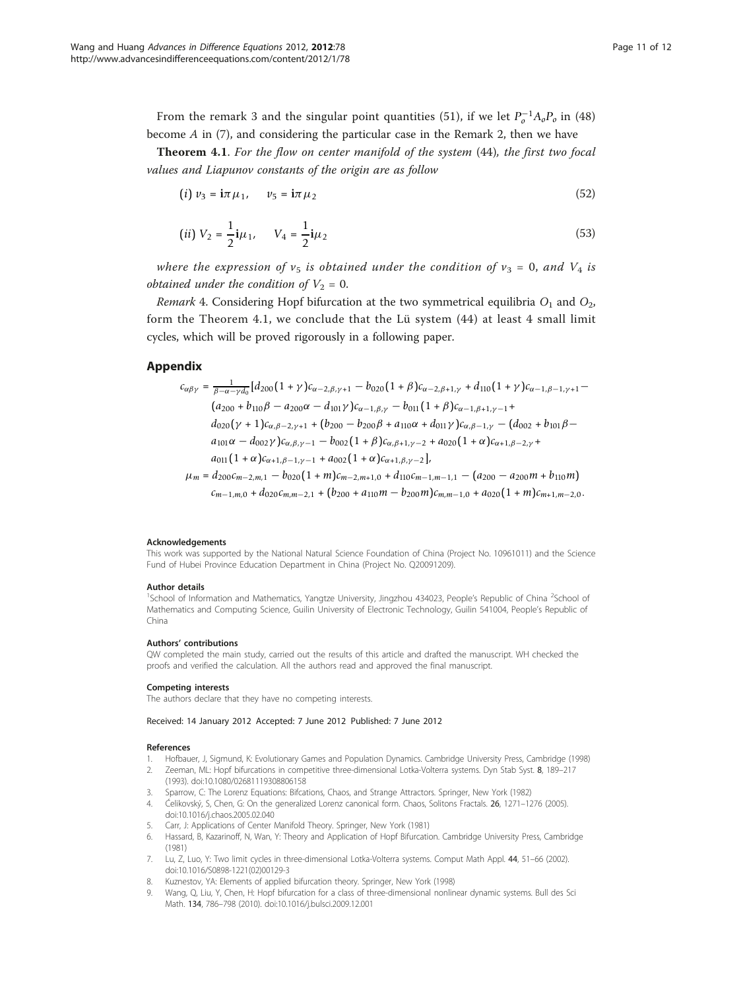<span id="page-10-0"></span>From the remark 3 and the singular point quantities (51), if we let  $P_o^{-1}A_oP_o$  in (48) become A in (7), and considering the particular case in the Remark 2, then we have

Theorem 4.1. For the flow on center manifold of the system (44), the first two focal values and Liapunov constants of the origin are as follow

$$
(i) \ v_3 = i \pi \mu_1, \quad \ v_5 = i \pi \mu_2 \tag{52}
$$

(ii) 
$$
V_2 = \frac{1}{2}i\mu_1
$$
,  $V_4 = \frac{1}{2}i\mu_2$  (53)

where the expression of  $v_5$  is obtained under the condition of  $v_3 = 0$ , and  $V_4$  is obtained under the condition of  $V_2 = 0$ .

Remark 4. Considering Hopf bifurcation at the two symmetrical equilibria  $O_1$  and  $O_2$ , form the Theorem 4.1, we conclude that the Lü system (44) at least 4 small limit cycles, which will be proved rigorously in a following paper.

#### Appendix

$$
c_{\alpha\beta\gamma} = \frac{1}{\beta - \alpha - \gamma d_0} [d_{200} (1 + \gamma) c_{\alpha - 2, \beta, \gamma + 1} - b_{020} (1 + \beta) c_{\alpha - 2, \beta + 1, \gamma} + d_{110} (1 + \gamma) c_{\alpha - 1, \beta - 1, \gamma + 1} - (a_{200} + b_{110}\beta - a_{200}\alpha - d_{101}\gamma) c_{\alpha - 1, \beta, \gamma} - b_{011} (1 + \beta) c_{\alpha - 1, \beta + 1, \gamma - 1} + d_{020} (\gamma + 1) c_{\alpha, \beta - 2, \gamma + 1} + (b_{200} - b_{200}\beta + a_{110}\alpha + d_{011}\gamma) c_{\alpha, \beta - 1, \gamma} - (d_{002} + b_{101}\beta - a_{101}\alpha - d_{002}\gamma) c_{\alpha, \beta, \gamma - 1} - b_{002} (1 + \beta) c_{\alpha, \beta + 1, \gamma - 2} + a_{020} (1 + \alpha) c_{\alpha + 1, \beta - 2, \gamma} + a_{011} (1 + \alpha) c_{\alpha + 1, \beta - 1, \gamma - 1} + a_{002} (1 + \alpha) c_{\alpha + 1, \beta, \gamma - 2}],
$$
  
\n
$$
\mu_m = d_{200} c_{m - 2, m, 1} - b_{020} (1 + m) c_{m - 2, m + 1, 0} + d_{110} c_{m - 1, m - 1, 1} - (a_{200} - a_{200}m + b_{110}m)
$$

 $c_{m-1,m,0} + d_{020}c_{m,m-2,1} + (b_{200} + a_{110}m - b_{200}m)c_{m,m-1,0} + a_{020}(1 + m)c_{m+1,m-2,0}$ .

#### Acknowledgements

This work was supported by the National Natural Science Foundation of China (Project No. 10961011) and the Science Fund of Hubei Province Education Department in China (Project No. Q20091209).

#### Author details

<sup>1</sup>School of Information and Mathematics, Yangtze University, Jingzhou 434023, People's Republic of China<sup>2</sup>School of Mathematics and Computing Science, Guilin University of Electronic Technology, Guilin 541004, People's Republic of China

#### Authors' contributions

QW completed the main study, carried out the results of this article and drafted the manuscript. WH checked the proofs and verified the calculation. All the authors read and approved the final manuscript.

#### Competing interests

The authors declare that they have no competing interests.

Received: 14 January 2012 Accepted: 7 June 2012 Published: 7 June 2012

#### References

- 1. Hofbauer, J, Sigmund, K: Evolutionary Games and Population Dynamics. Cambridge University Press, Cambridge (1998)
- 2. Zeeman, ML: Hopf bifurcations in competitive three-dimensional Lotka-Volterra systems. Dyn Stab Syst. 8, 189–217 (1993). doi:10.1080/02681119308806158
- 3. Sparrow, C: The Lorenz Equations: Bifcations, Chaos, and Strange Attractors. Springer, New York (1982)
- 4. Ćelikovský, S, Chen, G: On the generalized Lorenz canonical form. Chaos, Solitons Fractals. 26, 1271–1276 (2005). doi:10.1016/j.chaos.2005.02.040
- 5. Carr, J: Applications of Center Manifold Theory. Springer, New York (1981)
- 6. Hassard, B, Kazarinoff, N, Wan, Y: Theory and Application of Hopf Bifurcation. Cambridge University Press, Cambridge (1981)
- 7. Lu, Z, Luo, Y: Two limit cycles in three-dimensional Lotka-Volterra systems. Comput Math Appl. 44, 51–66 (2002). doi:10.1016/S0898-1221(02)00129-3
- 8. Kuznestov, YA: Elements of applied bifurcation theory. Springer, New York (1998)
- 9. Wang, Q, Liu, Y, Chen, H: Hopf bifurcation for a class of three-dimensional nonlinear dynamic systems. Bull des Sci Math. 134, 786–798 (2010). doi:10.1016/j.bulsci.2009.12.001